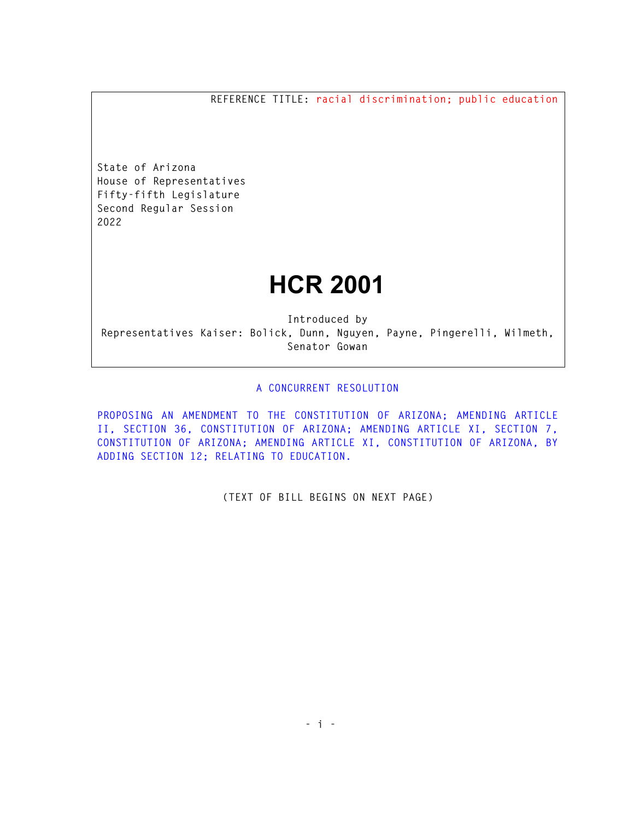**REFERENCE TITLE: racial discrimination; public education** 

**State of Arizona House of Representatives Fifty-fifth Legislature Second Regular Session 2022** 

## **HCR 2001**

**Introduced by Representatives Kaiser: Bolick, Dunn, Nguyen, Payne, Pingerelli, Wilmeth, Senator Gowan** 

## **A CONCURRENT RESOLUTION**

**PROPOSING AN AMENDMENT TO THE CONSTITUTION OF ARIZONA; AMENDING ARTICLE II, SECTION 36, CONSTITUTION OF ARIZONA; AMENDING ARTICLE XI, SECTION 7, CONSTITUTION OF ARIZONA; AMENDING ARTICLE XI, CONSTITUTION OF ARIZONA, BY ADDING SECTION 12; RELATING TO EDUCATION.** 

**(TEXT OF BILL BEGINS ON NEXT PAGE)**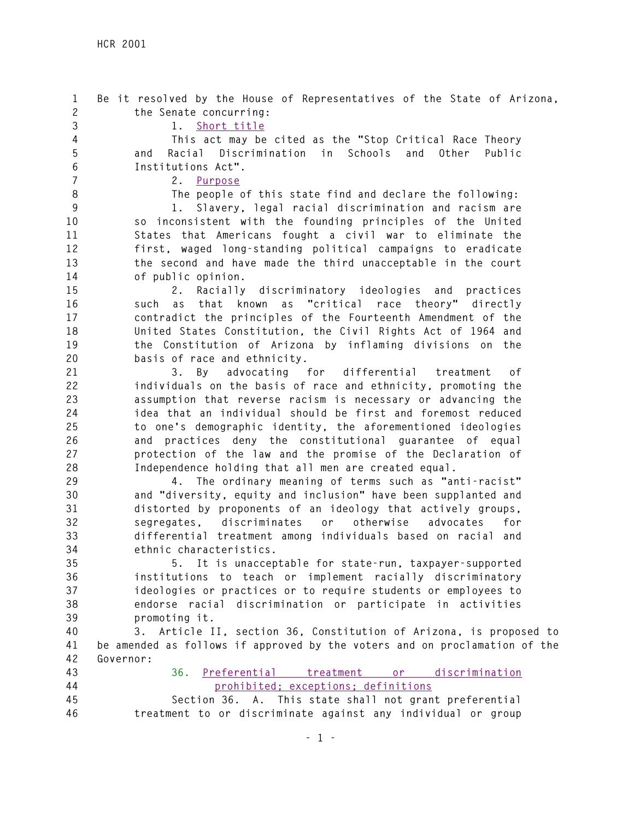**1 Be it resolved by the House of Representatives of the State of Arizona, 2 the Senate concurring:** 

**3 1. Short title** 

**4 This act may be cited as the "Stop Critical Race Theory 5 and Racial Discrimination in Schools and Other Public 6 Institutions Act".** 

**7 2. Purpose** 

**8 The people of this state find and declare the following:** 

**9 1. Slavery, legal racial discrimination and racism are 10 so inconsistent with the founding principles of the United 11 States that Americans fought a civil war to eliminate the 12 first, waged long-standing political campaigns to eradicate 13 the second and have made the third unacceptable in the court 14 of public opinion.** 

**15 2. Racially discriminatory ideologies and practices 16 such as that known as "critical race theory" directly 17 contradict the principles of the Fourteenth Amendment of the 18 United States Constitution, the Civil Rights Act of 1964 and 19 the Constitution of Arizona by inflaming divisions on the 20 basis of race and ethnicity.** 

**21 3. By advocating for differential treatment of 22 individuals on the basis of race and ethnicity, promoting the 23 assumption that reverse racism is necessary or advancing the 24 idea that an individual should be first and foremost reduced 25 to one's demographic identity, the aforementioned ideologies 26 and practices deny the constitutional guarantee of equal 27 protection of the law and the promise of the Declaration of 28 Independence holding that all men are created equal.** 

**29 4. The ordinary meaning of terms such as "anti-racist" 30 and "diversity, equity and inclusion" have been supplanted and 31 distorted by proponents of an ideology that actively groups, 32 segregates, discriminates or otherwise advocates for 33 differential treatment among individuals based on racial and 34 ethnic characteristics.** 

**35 5. It is unacceptable for state-run, taxpayer-supported 36 institutions to teach or implement racially discriminatory 37 ideologies or practices or to require students or employees to 38 endorse racial discrimination or participate in activities 39 promoting it.** 

**40 3. Article II, section 36, Constitution of Arizona, is proposed to 41 be amended as follows if approved by the voters and on proclamation of the 42 Governor:** 

**43 36. Preferential treatment or discrimination 44 prohibited; exceptions; definitions** 

**45 Section 36. A. This state shall not grant preferential 46 treatment to or discriminate against any individual or group**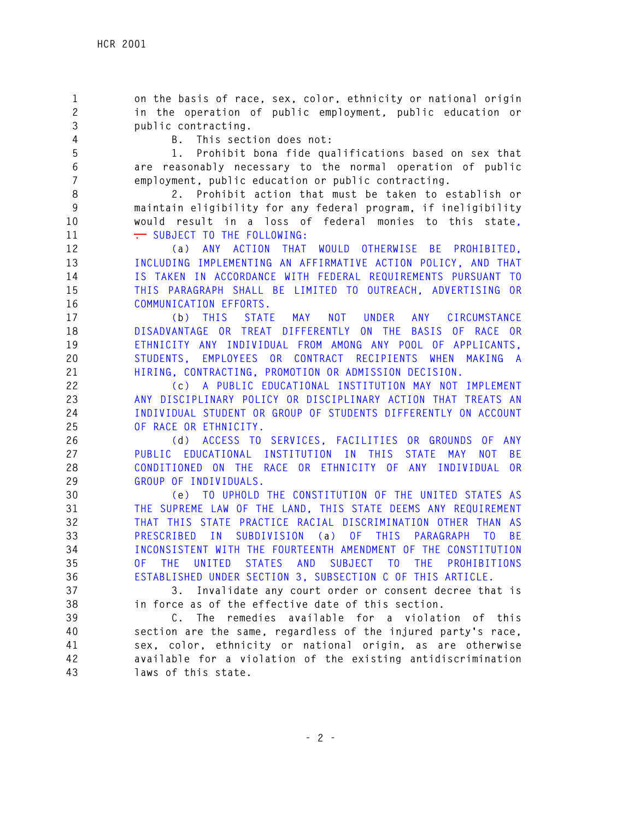**1 on the basis of race, sex, color, ethnicity or national origin 2 in the operation of public employment, public education or 3 public contracting.** 

**4 B. This section does not:** 

**5 1. Prohibit bona fide qualifications based on sex that 6 are reasonably necessary to the normal operation of public 7 employment, public education or public contracting.** 

**8 2. Prohibit action that must be taken to establish or 9 maintain eligibility for any federal program, if ineligibility 10 would result in a loss of federal monies to this state,**  11 **. SUBJECT TO THE FOLLOWING:** 

**12 (a) ANY ACTION THAT WOULD OTHERWISE BE PROHIBITED, 13 INCLUDING IMPLEMENTING AN AFFIRMATIVE ACTION POLICY, AND THAT 14 IS TAKEN IN ACCORDANCE WITH FEDERAL REQUIREMENTS PURSUANT TO 15 THIS PARAGRAPH SHALL BE LIMITED TO OUTREACH, ADVERTISING OR 16 COMMUNICATION EFFORTS.** 

**17 (b) THIS STATE MAY NOT UNDER ANY CIRCUMSTANCE 18 DISADVANTAGE OR TREAT DIFFERENTLY ON THE BASIS OF RACE OR 19 ETHNICITY ANY INDIVIDUAL FROM AMONG ANY POOL OF APPLICANTS, 20 STUDENTS, EMPLOYEES OR CONTRACT RECIPIENTS WHEN MAKING A 21 HIRING, CONTRACTING, PROMOTION OR ADMISSION DECISION.** 

**22 (c) A PUBLIC EDUCATIONAL INSTITUTION MAY NOT IMPLEMENT 23 ANY DISCIPLINARY POLICY OR DISCIPLINARY ACTION THAT TREATS AN 24 INDIVIDUAL STUDENT OR GROUP OF STUDENTS DIFFERENTLY ON ACCOUNT 25 OF RACE OR ETHNICITY.** 

**26 (d) ACCESS TO SERVICES, FACILITIES OR GROUNDS OF ANY 27 PUBLIC EDUCATIONAL INSTITUTION IN THIS STATE MAY NOT BE 28 CONDITIONED ON THE RACE OR ETHNICITY OF ANY INDIVIDUAL OR 29 GROUP OF INDIVIDUALS.** 

**30 (e) TO UPHOLD THE CONSTITUTION OF THE UNITED STATES AS 31 THE SUPREME LAW OF THE LAND, THIS STATE DEEMS ANY REQUIREMENT 32 THAT THIS STATE PRACTICE RACIAL DISCRIMINATION OTHER THAN AS 33 PRESCRIBED IN SUBDIVISION (a) OF THIS PARAGRAPH TO BE 34 INCONSISTENT WITH THE FOURTEENTH AMENDMENT OF THE CONSTITUTION 35 OF THE UNITED STATES AND SUBJECT TO THE PROHIBITIONS 36 ESTABLISHED UNDER SECTION 3, SUBSECTION C OF THIS ARTICLE.** 

**37 3. Invalidate any court order or consent decree that is 38 in force as of the effective date of this section.** 

**39 C. The remedies available for a violation of this 40 section are the same, regardless of the injured party's race, 41 sex, color, ethnicity or national origin, as are otherwise 42 available for a violation of the existing antidiscrimination 43 laws of this state.**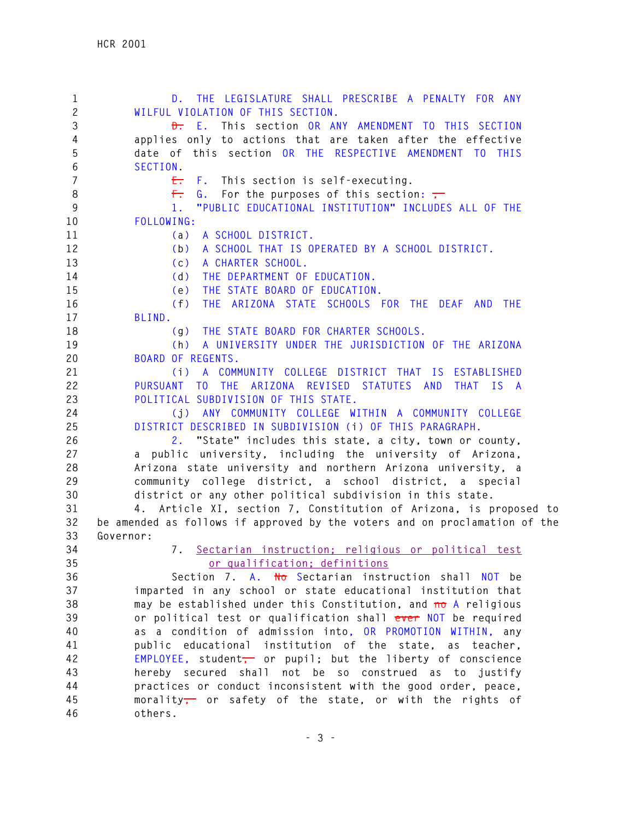**1 D. THE LEGISLATURE SHALL PRESCRIBE A PENALTY FOR ANY 2 WILFUL VIOLATION OF THIS SECTION. 3 D. E. This section OR ANY AMENDMENT TO THIS SECTION 4 applies only to actions that are taken after the effective 5 date of this section OR THE RESPECTIVE AMENDMENT TO THIS 6 SECTION. 7 E. F. This section is self-executing.**  8 **F.** G. For the purposes of this section: **9 1. "PUBLIC EDUCATIONAL INSTITUTION" INCLUDES ALL OF THE 10 FOLLOWING: 11 (a) A SCHOOL DISTRICT. 12 (b) A SCHOOL THAT IS OPERATED BY A SCHOOL DISTRICT. 13 (c) A CHARTER SCHOOL. 14 (d) THE DEPARTMENT OF EDUCATION. 15 (e) THE STATE BOARD OF EDUCATION. 16 (f) THE ARIZONA STATE SCHOOLS FOR THE DEAF AND THE 17 BLIND. 18 (g) THE STATE BOARD FOR CHARTER SCHOOLS. 19 (h) A UNIVERSITY UNDER THE JURISDICTION OF THE ARIZONA 20 BOARD OF REGENTS. 21 (i) A COMMUNITY COLLEGE DISTRICT THAT IS ESTABLISHED 22 PURSUANT TO THE ARIZONA REVISED STATUTES AND THAT IS A 23 POLITICAL SUBDIVISION OF THIS STATE. 24 (j) ANY COMMUNITY COLLEGE WITHIN A COMMUNITY COLLEGE 25 DISTRICT DESCRIBED IN SUBDIVISION (i) OF THIS PARAGRAPH. 26 2. "State" includes this state, a city, town or county, 27 a public university, including the university of Arizona, 28 Arizona state university and northern Arizona university, a 29 community college district, a school district, a special 30 district or any other political subdivision in this state. 31 4. Article XI, section 7, Constitution of Arizona, is proposed to 32 be amended as follows if approved by the voters and on proclamation of the 33 Governor: 34 7. Sectarian instruction; religious or political test 35 or qualification; definitions 36 Section 7. A. No Sectarian instruction shall NOT be 37 imparted in any school or state educational institution that 38 may be established under this Constitution, and no A religious 39 or political test or qualification shall ever NOT be required 40 as a condition of admission into, OR PROMOTION WITHIN, any 41 public educational institution of the state, as teacher, 42 EMPLOYEE, student, or pupil; but the liberty of conscience 43 hereby secured shall not be so construed as to justify 44 practices or conduct inconsistent with the good order, peace, 45 morality, or safety of the state, or with the rights of 46 others.**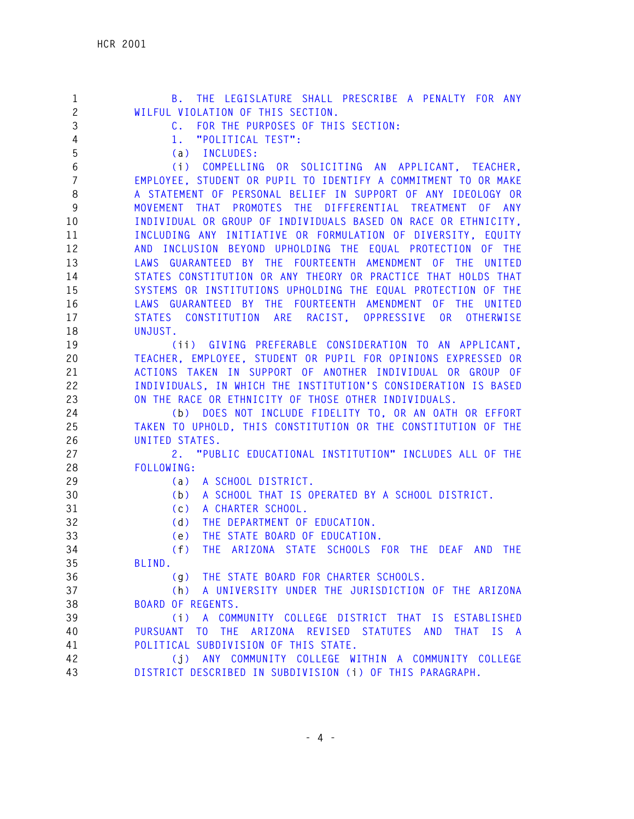| $\mathbf{1}$   | B. THE LEGISLATURE SHALL PRESCRIBE A PENALTY FOR ANY              |
|----------------|-------------------------------------------------------------------|
| $\overline{c}$ | WILFUL VIOLATION OF THIS SECTION.                                 |
| 3              | C. FOR THE PURPOSES OF THIS SECTION:                              |
| 4              | "POLITICAL TEST":<br>1.                                           |
| 5              | (a) INCLUDES:                                                     |
| 6              | (i) COMPELLING OR SOLICITING AN APPLICANT, TEACHER,               |
| $\overline{7}$ | EMPLOYEE, STUDENT OR PUPIL TO IDENTIFY A COMMITMENT TO OR MAKE    |
| 8              | A STATEMENT OF PERSONAL BELIEF IN SUPPORT OF ANY IDEOLOGY OR      |
| 9              | MOVEMENT THAT PROMOTES THE DIFFERENTIAL TREATMENT OF ANY          |
| 10             | INDIVIDUAL OR GROUP OF INDIVIDUALS BASED ON RACE OR ETHNICITY.    |
| 11             | INCLUDING ANY INITIATIVE OR FORMULATION OF DIVERSITY, EQUITY      |
| 12             | AND INCLUSION BEYOND UPHOLDING THE EQUAL PROTECTION OF THE        |
| 13             | LAWS GUARANTEED BY THE FOURTEENTH AMENDMENT OF THE UNITED         |
| 14             | STATES CONSTITUTION OR ANY THEORY OR PRACTICE THAT HOLDS THAT     |
| 15             | SYSTEMS OR INSTITUTIONS UPHOLDING THE EQUAL PROTECTION OF THE     |
| 16             | LAWS GUARANTEED BY THE FOURTEENTH AMENDMENT OF THE UNITED         |
| 17             | STATES CONSTITUTION ARE RACIST, OPPRESSIVE OR<br><b>OTHERWISE</b> |
| 18             | UNJUST.                                                           |
| 19             | (ii) GIVING PREFERABLE CONSIDERATION TO AN APPLICANT,             |
| 20             | TEACHER, EMPLOYEE, STUDENT OR PUPIL FOR OPINIONS EXPRESSED OR     |
| 21             | ACTIONS TAKEN IN SUPPORT OF ANOTHER INDIVIDUAL OR GROUP OF        |
| 22             | INDIVIDUALS, IN WHICH THE INSTITUTION'S CONSIDERATION IS BASED    |
| 23             | ON THE RACE OR ETHNICITY OF THOSE OTHER INDIVIDUALS.              |
| 24             | (b) DOES NOT INCLUDE FIDELITY TO, OR AN OATH OR EFFORT            |
| 25             | TAKEN TO UPHOLD, THIS CONSTITUTION OR THE CONSTITUTION OF THE     |
| 26             | UNITED STATES.                                                    |
| 27             | 2. "PUBLIC EDUCATIONAL INSTITUTION" INCLUDES ALL OF THE           |
| 28             | FOLLOWING:                                                        |
| 29             | A SCHOOL DISTRICT.<br>(a)                                         |
| 30             | A SCHOOL THAT IS OPERATED BY A SCHOOL DISTRICT.<br>(b)            |
| 31             | (c)<br>A CHARTER SCHOOL.                                          |
| 32             | (d)<br>THE DEPARTMENT OF EDUCATION.                               |
| 33             | THE STATE BOARD OF EDUCATION.<br>(e)                              |
| 34             | THE ARIZONA STATE SCHOOLS FOR THE DEAF AND<br>(f)<br><b>THE</b>   |
| 35             | BLIND.                                                            |
| 36             | (g) THE STATE BOARD FOR CHARTER SCHOOLS.                          |
| 37             | (h) A UNIVERSITY UNDER THE JURISDICTION OF THE ARIZONA            |
| 38             | <b>BOARD OF REGENTS.</b>                                          |
| 39             | (i) A COMMUNITY COLLEGE DISTRICT THAT IS ESTABLISHED              |
| 40             | THE ARIZONA REVISED STATUTES AND THAT IS A<br>PURSUANT TO         |
| 41             | POLITICAL SUBDIVISION OF THIS STATE.                              |
| 42             | (j) ANY COMMUNITY COLLEGE WITHIN A COMMUNITY COLLEGE              |
| 43             | DISTRICT DESCRIBED IN SUBDIVISION (i) OF THIS PARAGRAPH.          |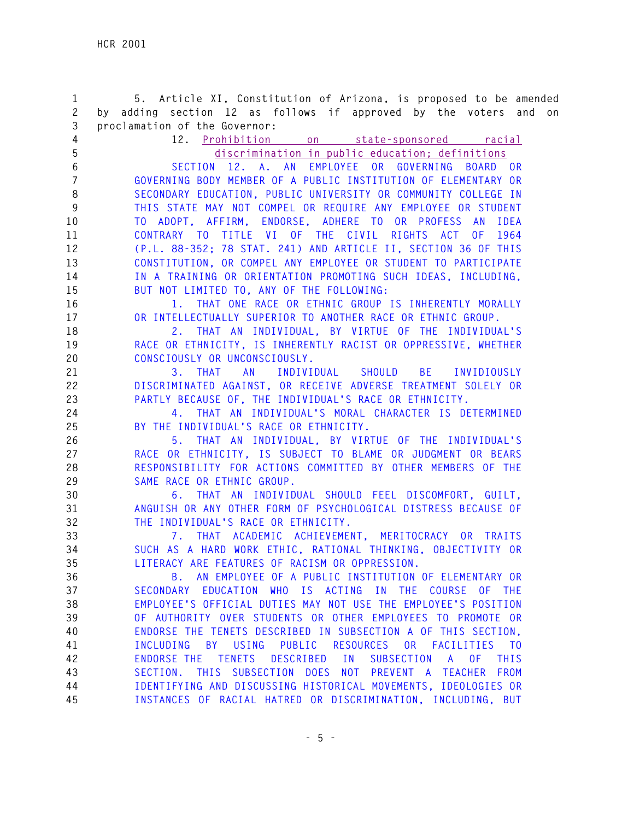**1 5. Article XI, Constitution of Arizona, is proposed to be amended 2 by adding section 12 as follows if approved by the voters and on 3 proclamation of the Governor: 4 12. Prohibition on state-sponsored racial 5 discrimination in public education; definitions 6 SECTION 12. A. AN EMPLOYEE OR GOVERNING BOARD OR 7 GOVERNING BODY MEMBER OF A PUBLIC INSTITUTION OF ELEMENTARY OR 8 SECONDARY EDUCATION, PUBLIC UNIVERSITY OR COMMUNITY COLLEGE IN 9 THIS STATE MAY NOT COMPEL OR REQUIRE ANY EMPLOYEE OR STUDENT 10 TO ADOPT, AFFIRM, ENDORSE, ADHERE TO OR PROFESS AN IDEA 11 CONTRARY TO TITLE VI OF THE CIVIL RIGHTS ACT OF 1964 12 (P.L. 88-352; 78 STAT. 241) AND ARTICLE II, SECTION 36 OF THIS 13 CONSTITUTION, OR COMPEL ANY EMPLOYEE OR STUDENT TO PARTICIPATE 14 IN A TRAINING OR ORIENTATION PROMOTING SUCH IDEAS, INCLUDING, 15 BUT NOT LIMITED TO, ANY OF THE FOLLOWING: 16 1. THAT ONE RACE OR ETHNIC GROUP IS INHERENTLY MORALLY 17 OR INTELLECTUALLY SUPERIOR TO ANOTHER RACE OR ETHNIC GROUP. 18 2. THAT AN INDIVIDUAL, BY VIRTUE OF THE INDIVIDUAL'S 19 RACE OR ETHNICITY, IS INHERENTLY RACIST OR OPPRESSIVE, WHETHER 20 CONSCIOUSLY OR UNCONSCIOUSLY. 21 3. THAT AN INDIVIDUAL SHOULD BE INVIDIOUSLY 22 DISCRIMINATED AGAINST, OR RECEIVE ADVERSE TREATMENT SOLELY OR 23 PARTLY BECAUSE OF, THE INDIVIDUAL'S RACE OR ETHNICITY. 24 4. THAT AN INDIVIDUAL'S MORAL CHARACTER IS DETERMINED 25 BY THE INDIVIDUAL'S RACE OR ETHNICITY. 26 5. THAT AN INDIVIDUAL, BY VIRTUE OF THE INDIVIDUAL'S 27 RACE OR ETHNICITY, IS SUBJECT TO BLAME OR JUDGMENT OR BEARS 28 RESPONSIBILITY FOR ACTIONS COMMITTED BY OTHER MEMBERS OF THE 29 SAME RACE OR ETHNIC GROUP. 30 6. THAT AN INDIVIDUAL SHOULD FEEL DISCOMFORT, GUILT, 31 ANGUISH OR ANY OTHER FORM OF PSYCHOLOGICAL DISTRESS BECAUSE OF 32 THE INDIVIDUAL'S RACE OR ETHNICITY. 33 7. THAT ACADEMIC ACHIEVEMENT, MERITOCRACY OR TRAITS 34 SUCH AS A HARD WORK ETHIC, RATIONAL THINKING, OBJECTIVITY OR 35 LITERACY ARE FEATURES OF RACISM OR OPPRESSION. 36 B. AN EMPLOYEE OF A PUBLIC INSTITUTION OF ELEMENTARY OR 37 SECONDARY EDUCATION WHO IS ACTING IN THE COURSE OF THE 38 EMPLOYEE'S OFFICIAL DUTIES MAY NOT USE THE EMPLOYEE'S POSITION 39 OF AUTHORITY OVER STUDENTS OR OTHER EMPLOYEES TO PROMOTE OR 40 ENDORSE THE TENETS DESCRIBED IN SUBSECTION A OF THIS SECTION, 41 INCLUDING BY USING PUBLIC RESOURCES OR FACILITIES TO 42 ENDORSE THE TENETS DESCRIBED IN SUBSECTION A OF THIS 43 SECTION. THIS SUBSECTION DOES NOT PREVENT A TEACHER FROM 44 IDENTIFYING AND DISCUSSING HISTORICAL MOVEMENTS, IDEOLOGIES OR 45 INSTANCES OF RACIAL HATRED OR DISCRIMINATION, INCLUDING, BUT**